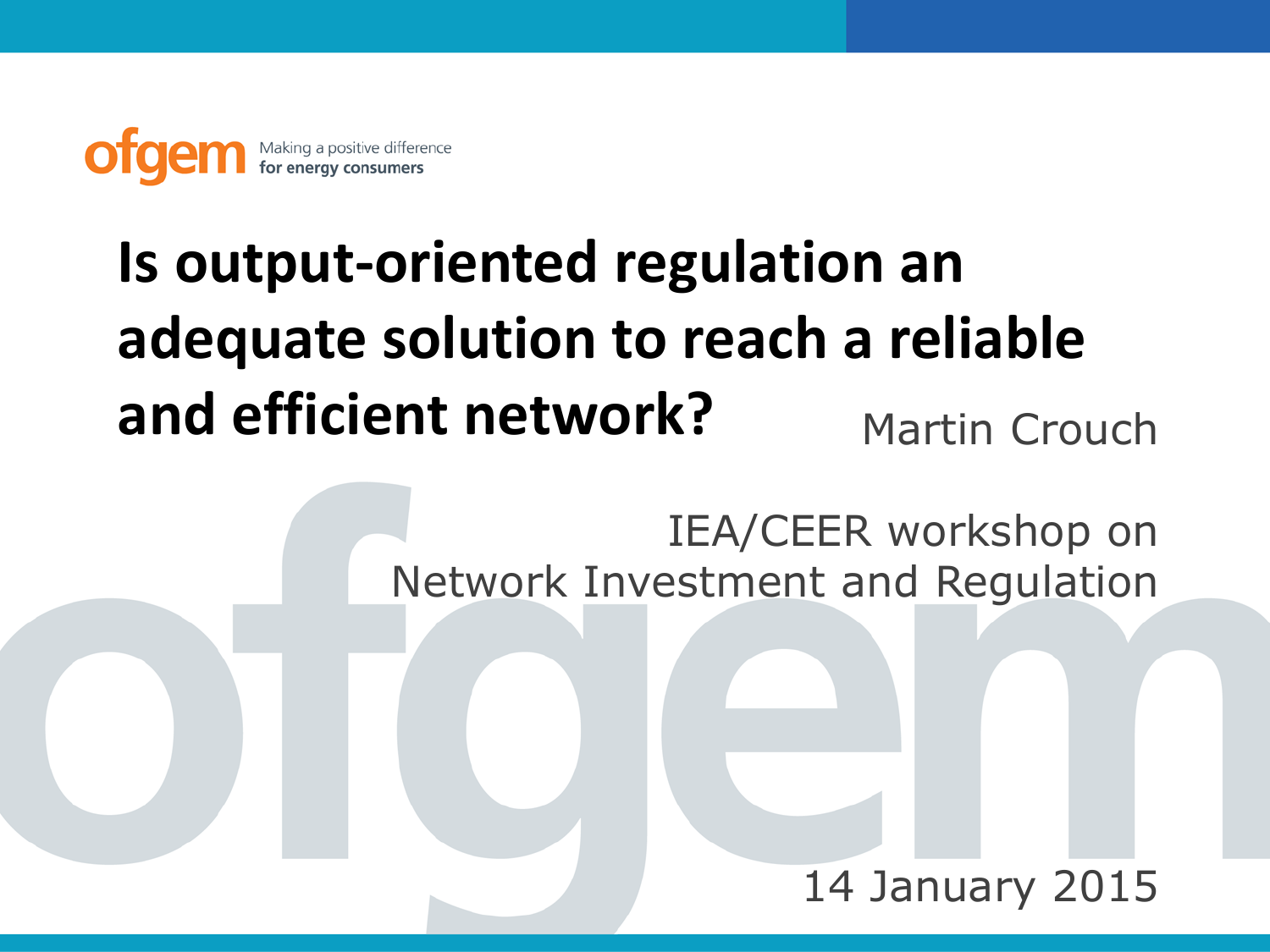Making a positive difference

# **Is output-oriented regulation an adequate solution to reach a reliable and efficient network?** Martin Crouch

IEA/CEER workshop on Network Investment and Regulation

## 14 January 2015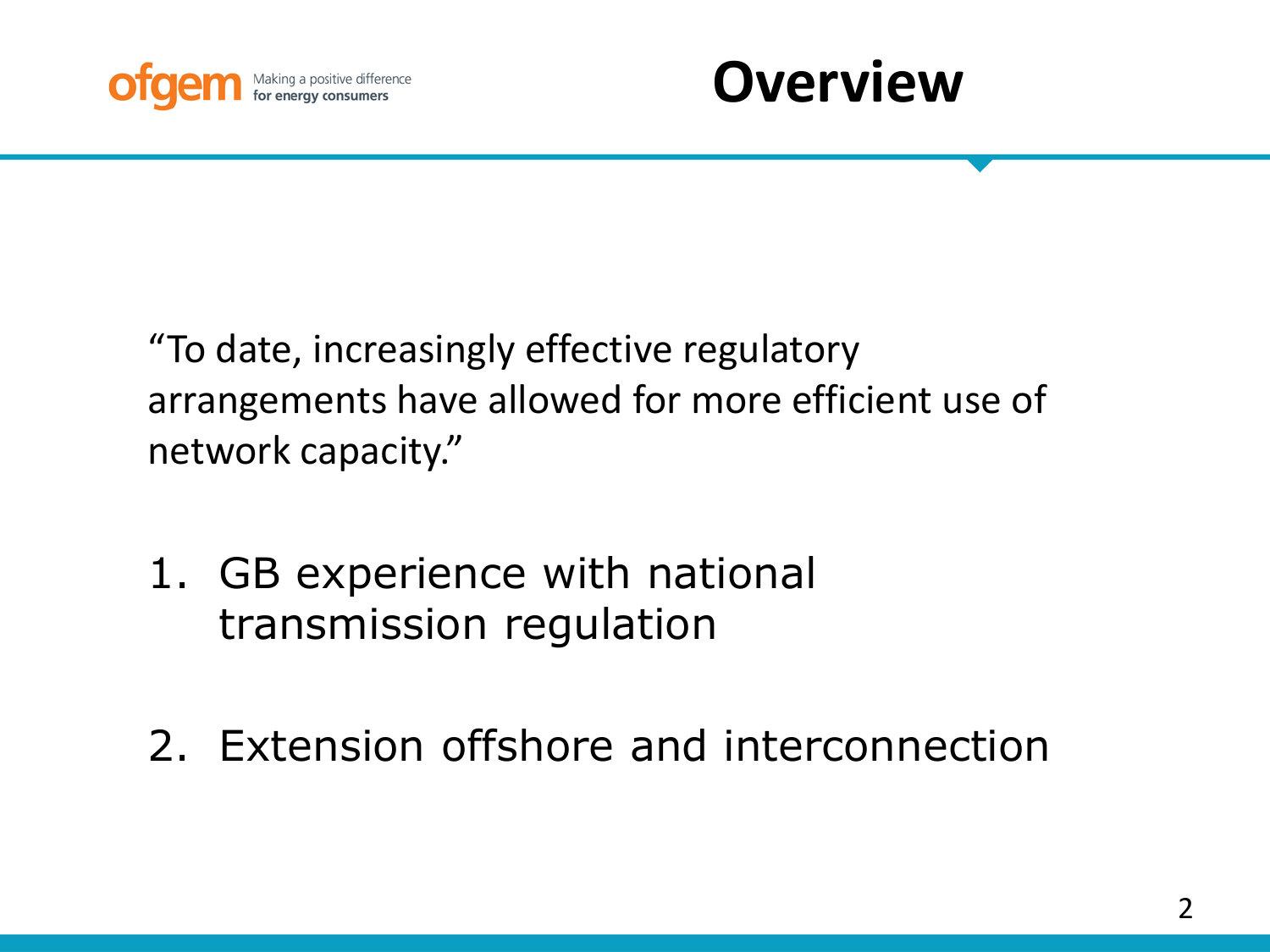



"To date, increasingly effective regulatory arrangements have allowed for more efficient use of network capacity."

- 1. GB experience with national transmission regulation
- 2. Extension offshore and interconnection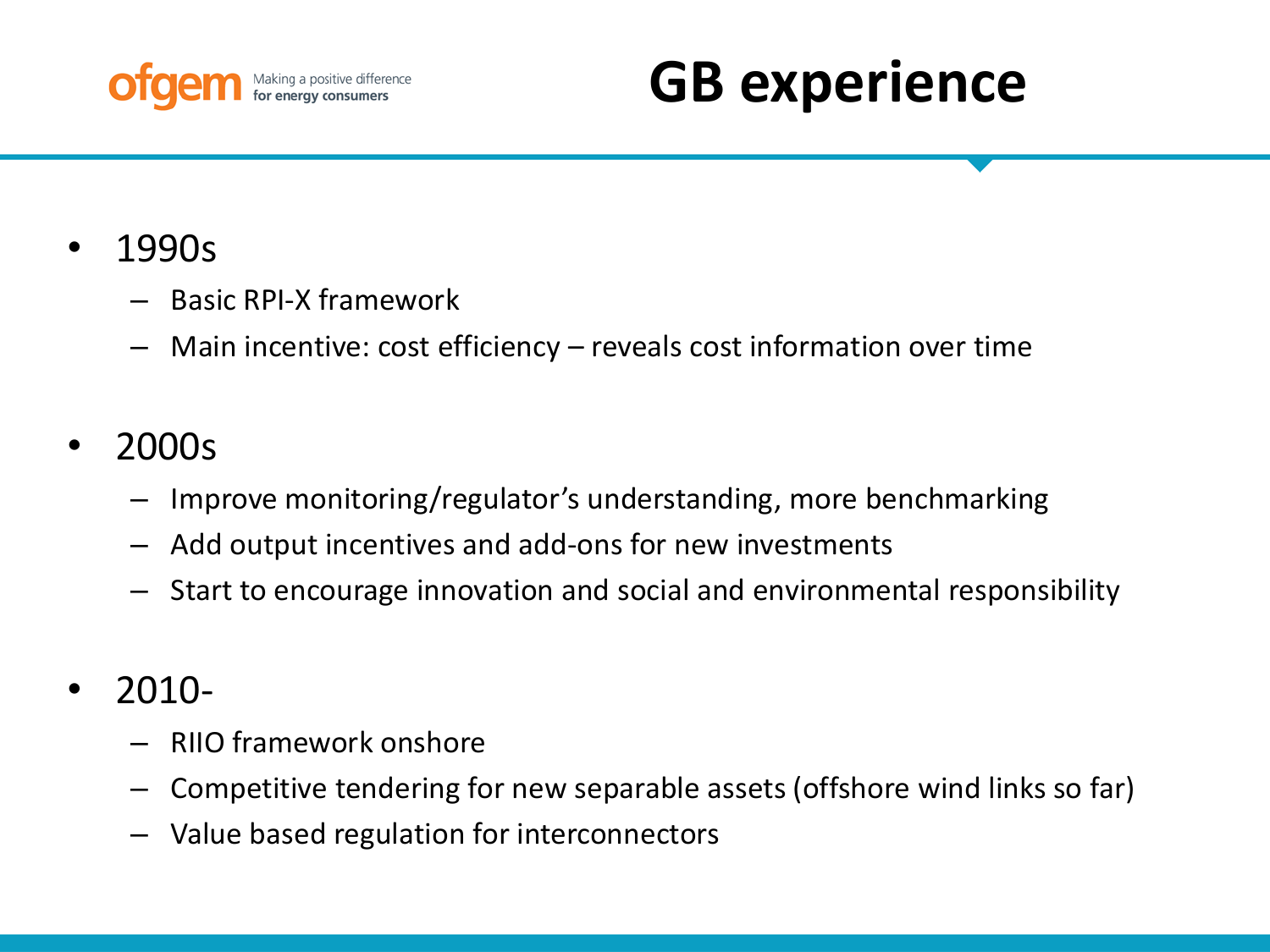

# **GB experience**

- 1990s
	- Basic RPI-X framework
	- Main incentive: cost efficiency reveals cost information over time

## • 2000s

- Improve monitoring/regulator's understanding, more benchmarking
- Add output incentives and add-ons for new investments
- Start to encourage innovation and social and environmental responsibility
- 2010-
	- RIIO framework onshore
	- Competitive tendering for new separable assets (offshore wind links so far)
	- Value based regulation for interconnectors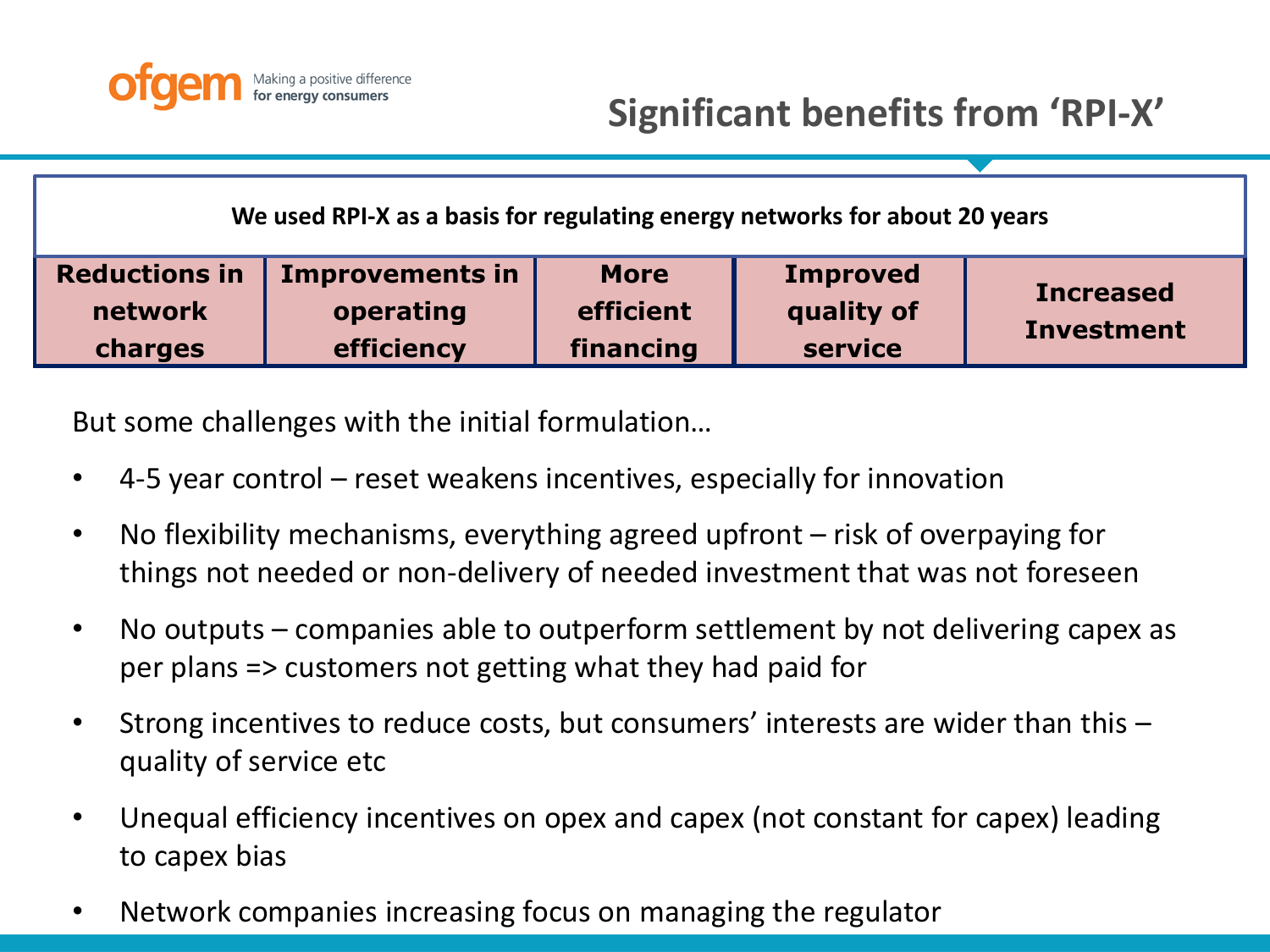

**We used RPI-X as a basis for regulating energy networks for about 20 years**

| <b>Reductions in</b> | <b>Improvements in</b> | <b>More</b> | <b>Improved</b> | <b>Increased</b>  |
|----------------------|------------------------|-------------|-----------------|-------------------|
| network              | operating              | efficient   | quality of      | <b>Investment</b> |
| charges              | efficiency             | financing   | service         |                   |

But some challenges with the initial formulation…

- 4-5 year control reset weakens incentives, especially for innovation
- No flexibility mechanisms, everything agreed upfront risk of overpaying for things not needed or non-delivery of needed investment that was not foreseen
- No outputs companies able to outperform settlement by not delivering capex as per plans => customers not getting what they had paid for
- Strong incentives to reduce costs, but consumers' interests are wider than this quality of service etc
- Unequal efficiency incentives on opex and capex (not constant for capex) leading to capex bias
- Network companies increasing focus on managing the regulator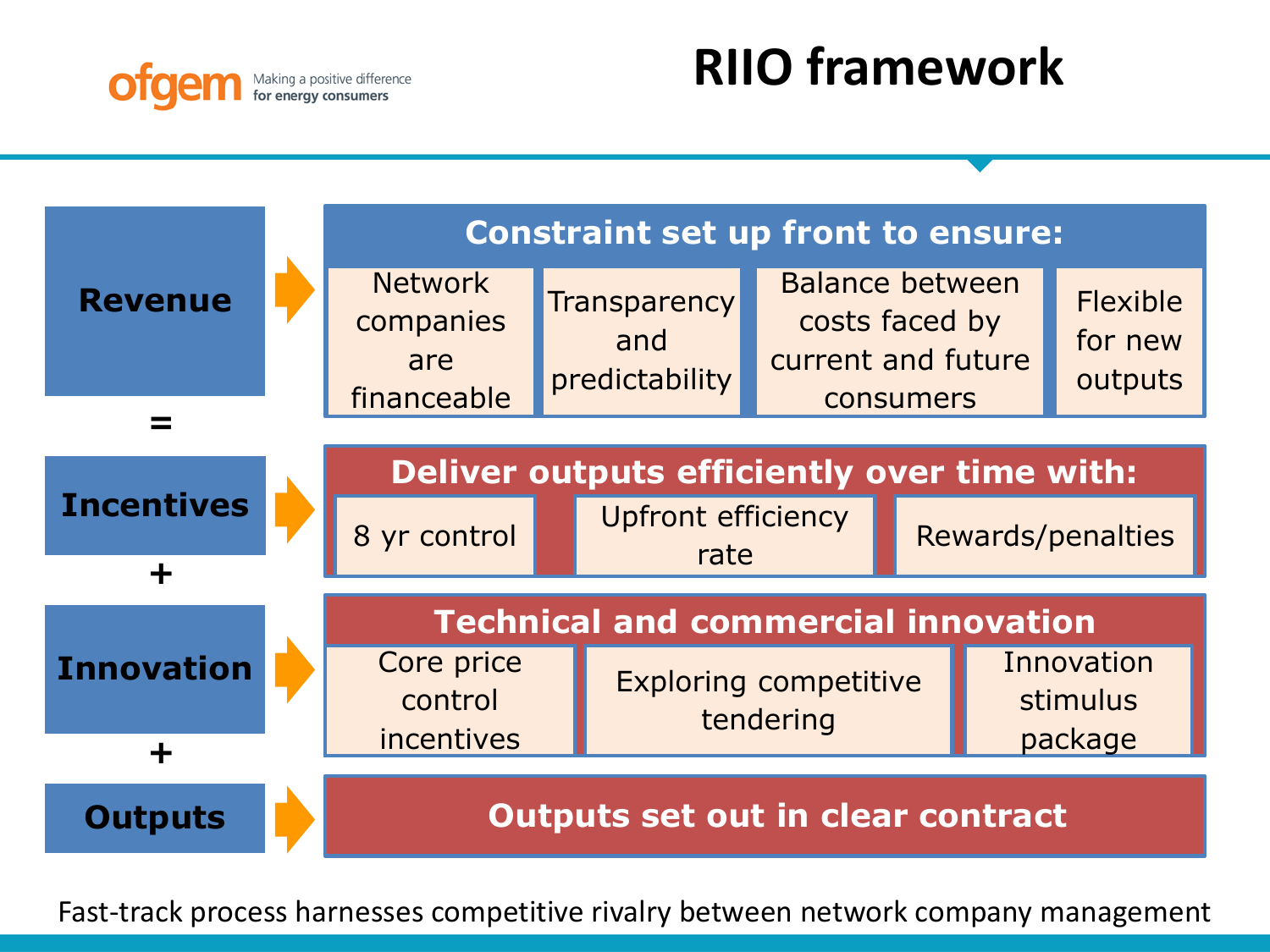

## **RIIO framework**



Fast-track process harnesses competitive rivalry between network company management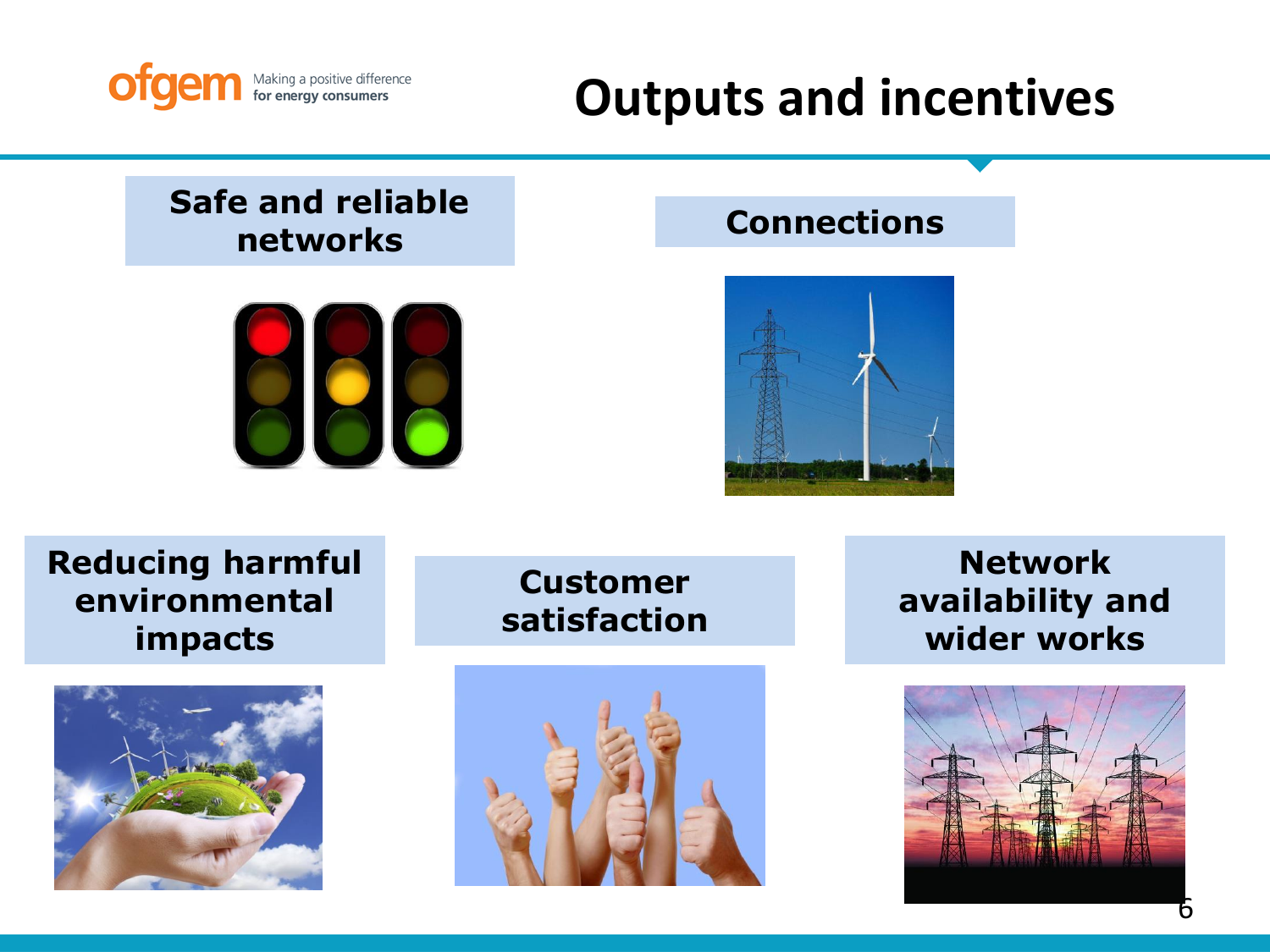

## **Outputs and incentives**

## **Safe and reliable networks**



### **Connections**



## **Reducing harmful environmental impacts**



**Customer satisfaction**



**Network availability and wider works**

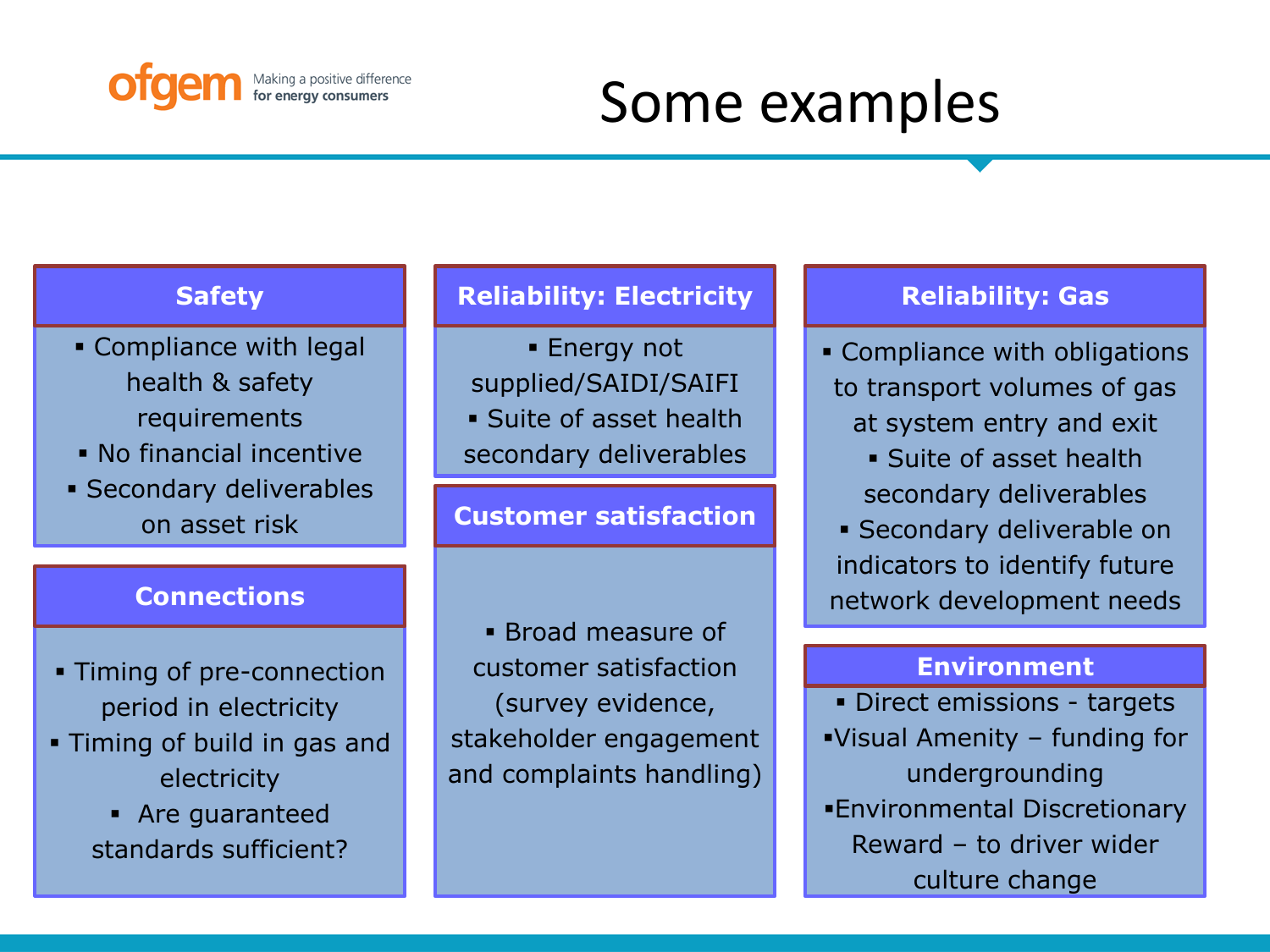

# Some examples

- Compliance with legal health & safety requirements
- No financial incentive
- Secondary deliverables on asset risk

### **Connections**

- Timing of pre-connection period in electricity
- Timing of build in gas and electricity
	- Are guaranteed standards sufficient?

### **Safety Reliability: Electricity Reliability: Gas**

**Energy not** supplied/SAIDI/SAIFI Suite of asset health secondary deliverables

### **Customer satisfaction**

 Broad measure of customer satisfaction (survey evidence, stakeholder engagement and complaints handling)

- Compliance with obligations to transport volumes of gas at system entry and exit
	- Suite of asset health secondary deliverables
- Secondary deliverable on indicators to identify future network development needs

### **Environment**

 Direct emissions - targets Visual Amenity – funding for undergrounding Environmental Discretionary Reward – to driver wider culture change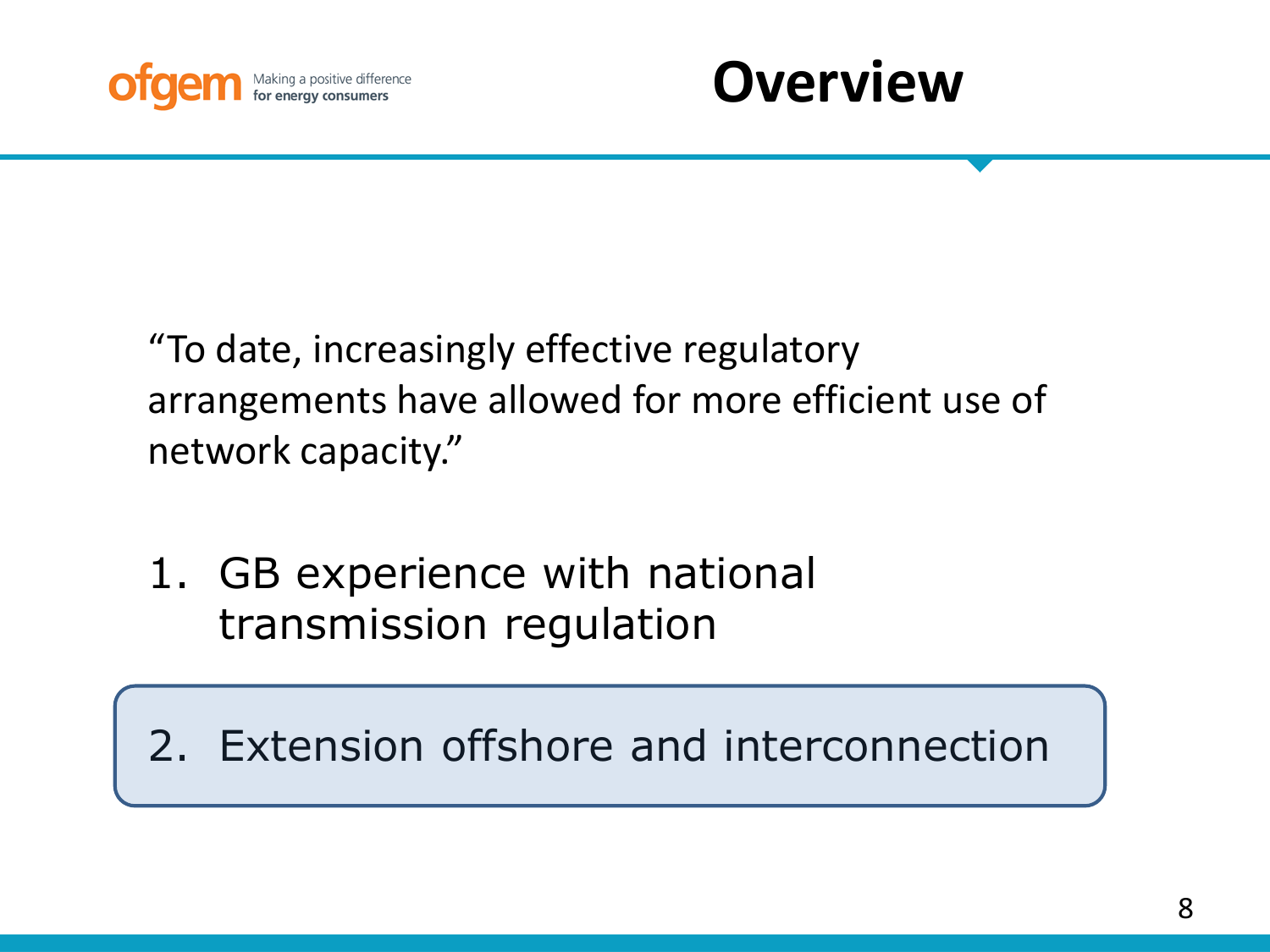



"To date, increasingly effective regulatory arrangements have allowed for more efficient use of network capacity."

1. GB experience with national transmission regulation

2. Extension offshore and interconnection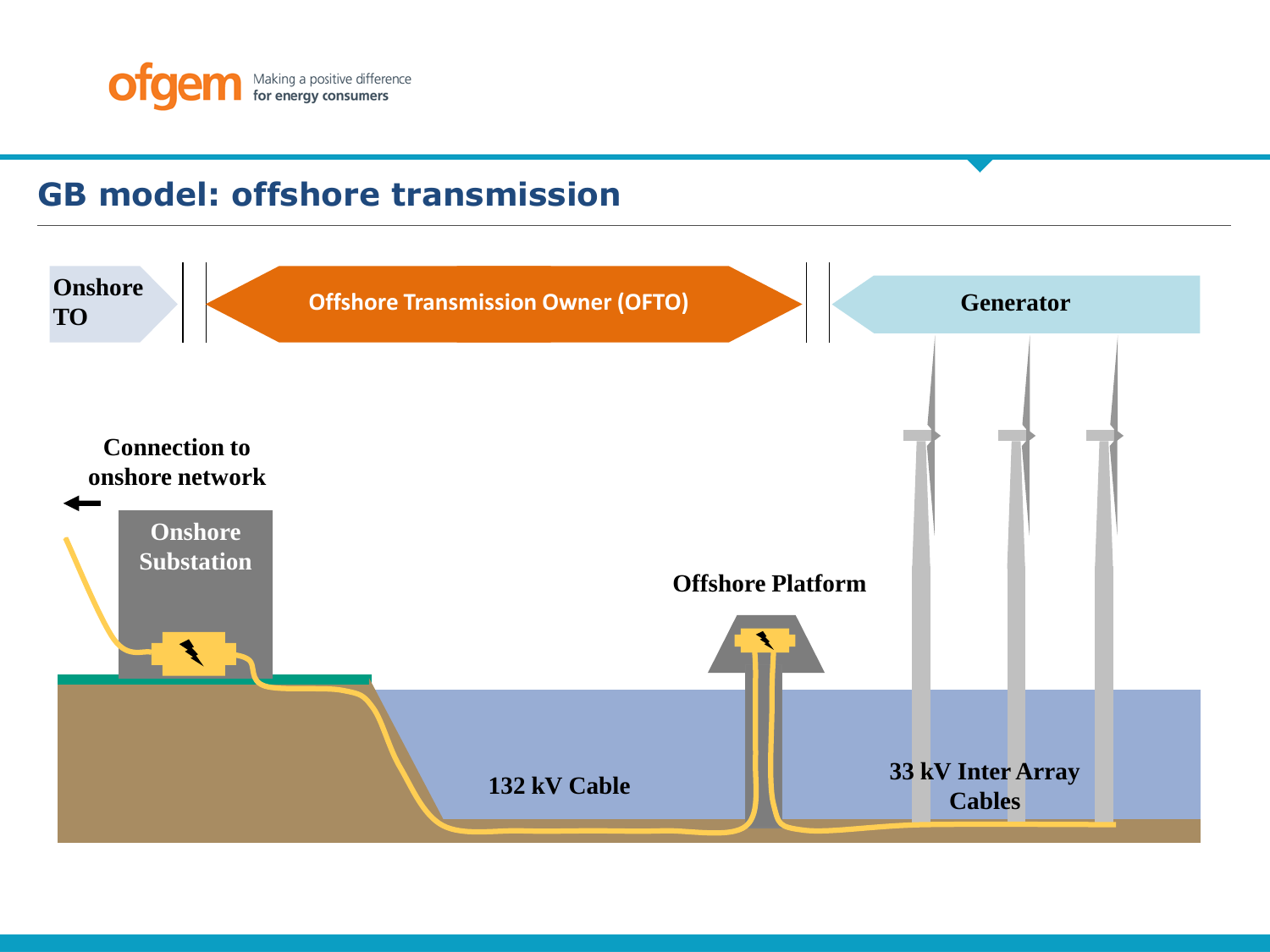

## **GB model: offshore transmission**

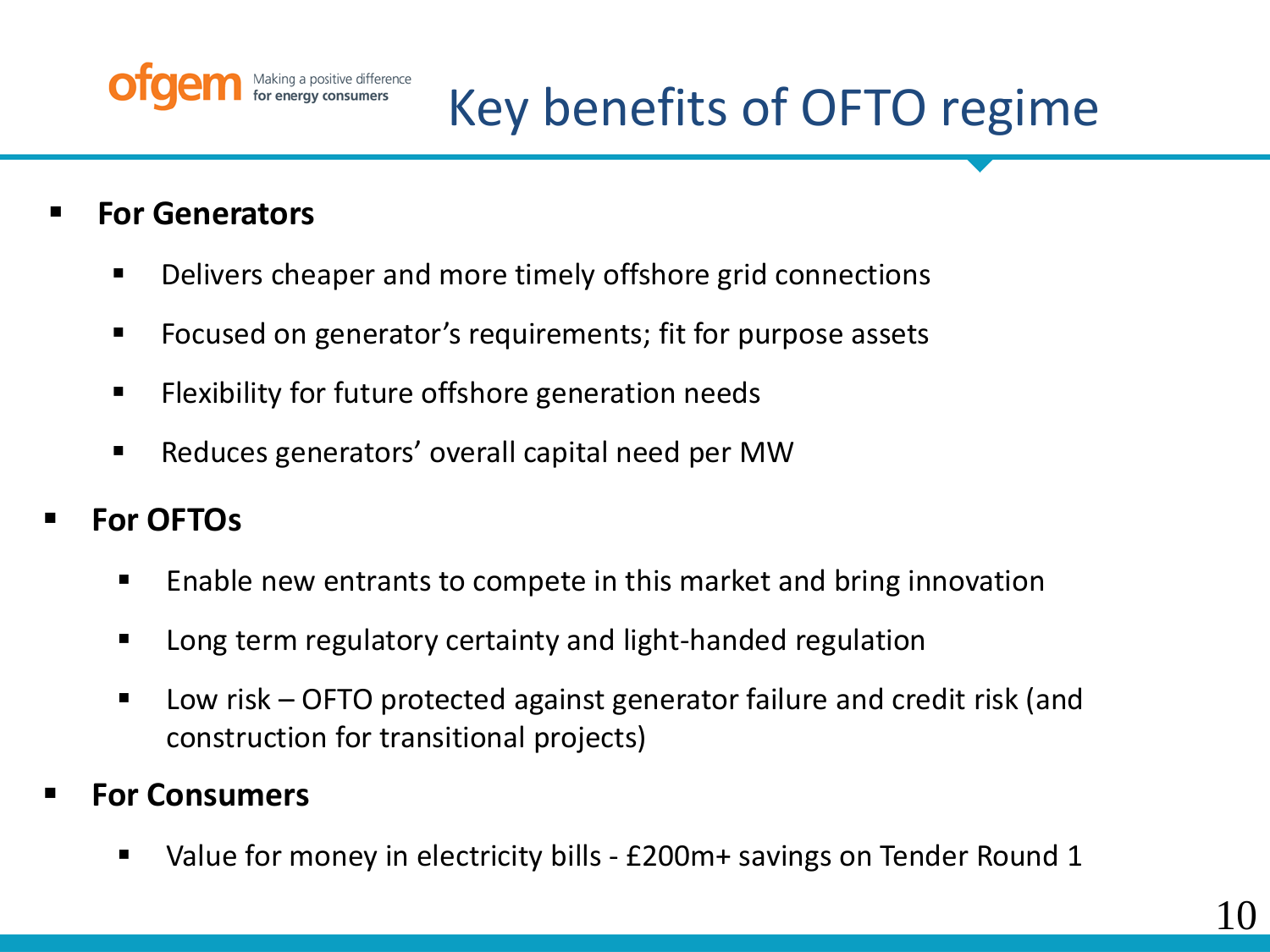

# Key benefits of OFTO regime

- **For Generators**
	- Delivers cheaper and more timely offshore grid connections
	- Focused on generator's requirements; fit for purpose assets
	- **Filexibility for future offshore generation needs**
	- Reduces generators' overall capital need per MW
- **For OFTOs**
	- Enable new entrants to compete in this market and bring innovation
	- Long term regulatory certainty and light-handed regulation
	- Low risk OFTO protected against generator failure and credit risk (and construction for transitional projects)
- **For Consumers**
	- Value for money in electricity bills £200m+ savings on Tender Round 1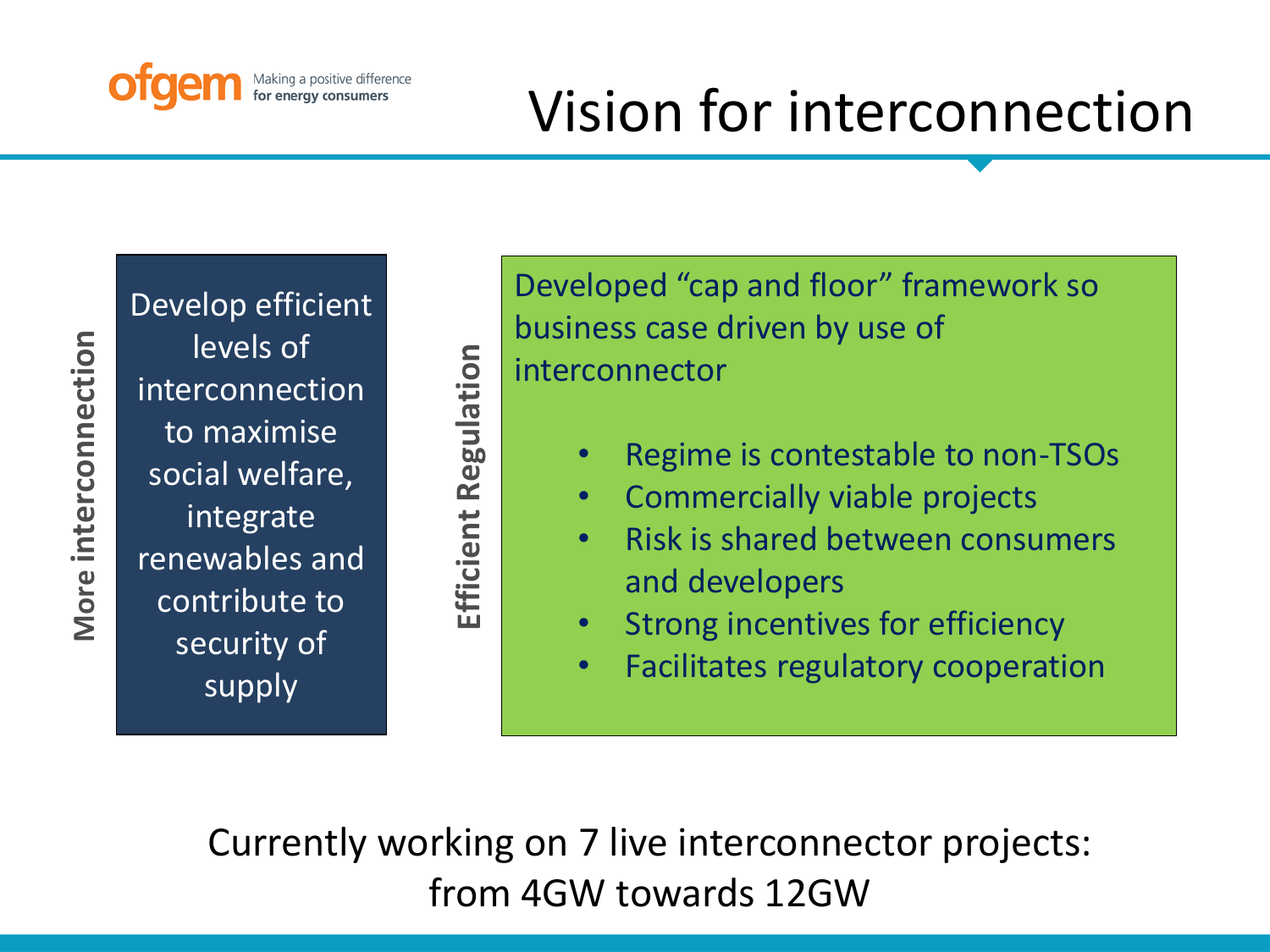

# Vision for interconnection

More interconnection **More interconnection** Develop efficient levels of interconnection to maximise social welfare, integrate renewables and contribute to security of supply

**Efficient Regulation**

Efficient

Regulation

Developed "cap and floor" framework so business case driven by use of interconnector

- Regime is contestable to non-TSOs
- Commercially viable projects
- Risk is shared between consumers and developers
- Strong incentives for efficiency
- Facilitates regulatory cooperation

Currently working on 7 live interconnector projects: from 4GW towards 12GW